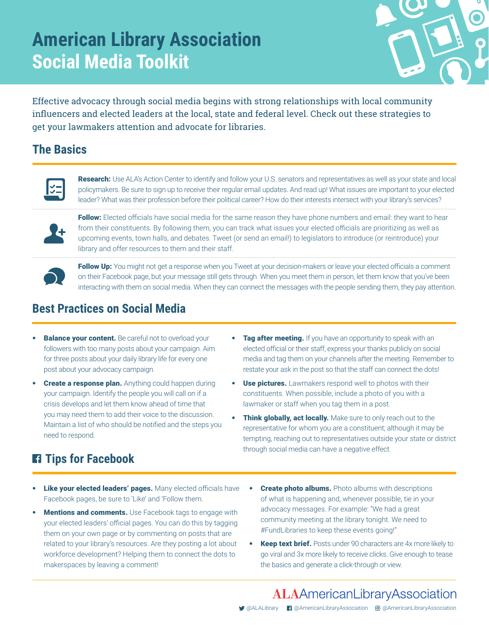# **American Library Association Social Media Toolkit**



Effective advocacy through social media begins with strong relationships with local community influencers and elected leaders at the local, state and federal level. Check out these strategies to get your lawmakers attention and advocate for libraries.

#### **The Basics**



Research: Use ALA's Action Center to identify and follow your U.S. senators and representatives as well as your state and local policymakers. Be sure to sign up to receive their regular email updates. And read up! What issues are important to your elected leader? What was their profession before their political career? How do their interests intersect with your library's services?



Follow: Elected officials have social media for the same reason they have phone numbers and email: they want to hear from their constituents. By following them, you can track what issues your elected officials are prioritizing as well as upcoming events, town halls, and debates. Tweet (or send an email!) to legislators to introduce (or reintroduce) your library and offer resources to them and their staff.



Follow Up: You might not get a response when you Tweet at your decision-makers or leave your elected officials a comment on their Facebook page, but your message still gets through. When you meet them in person, let them know that you've been interacting with them on social media. When they can connect the messages with the people sending them, they pay attention.

#### **Best Practices on Social Media**

- **Balance your content.** Be careful not to overload your followers with too many posts about your campaign. Aim for three posts about your daily library life for every one post about your advocacy campaign.
- **Create a response plan.** Anything could happen during your campaign. Identify the people you will call on if a crisis develops and let them know ahead of time that you may need them to add their voice to the discussion. Maintain a list of who should be notified and the steps you need to respond.
- **Tag after meeting.** If you have an opportunity to speak with an elected official or their staff, express your thanks publicly on social media and tag them on your channels after the meeting. Remember to restate your ask in the post so that the staff can connect the dots!
- Use pictures. Lawmakers respond well to photos with their constituents. When possible, include a photo of you with a lawmaker or staff when you tag them in a post.
- Think globally, act locally. Make sure to only reach out to the representative for whom you are a constituent; although it may be tempting, reaching out to representatives outside your state or district through social media can have a negative effect.

## **Tips for Facebook**

- Like your elected leaders' pages. Many elected officials have Facebook pages, be sure to 'Like' and 'Follow them.
- **Mentions and comments.** Use Facebook tags to engage with your elected leaders' official pages. You can do this by tagging them on your own page or by commenting on posts that are related to your library's resources. Are they posting a lot about workforce development? Helping them to connect the dots to makerspaces by leaving a comment!
- **Create photo albums.** Photo albums with descriptions of what is happening and, whenever possible, tie in your advocacy messages. For example: "We had a great community meeting at the library tonight. We need to #FundLibraries to keep these events going!"
- Keep text brief. Posts under 90 characters are 4x more likely to go viral and 3x more likely to receive clicks. Give enough to tease the basics and generate a click-through or view.

# **ALAAmericanLibraryAssociation**